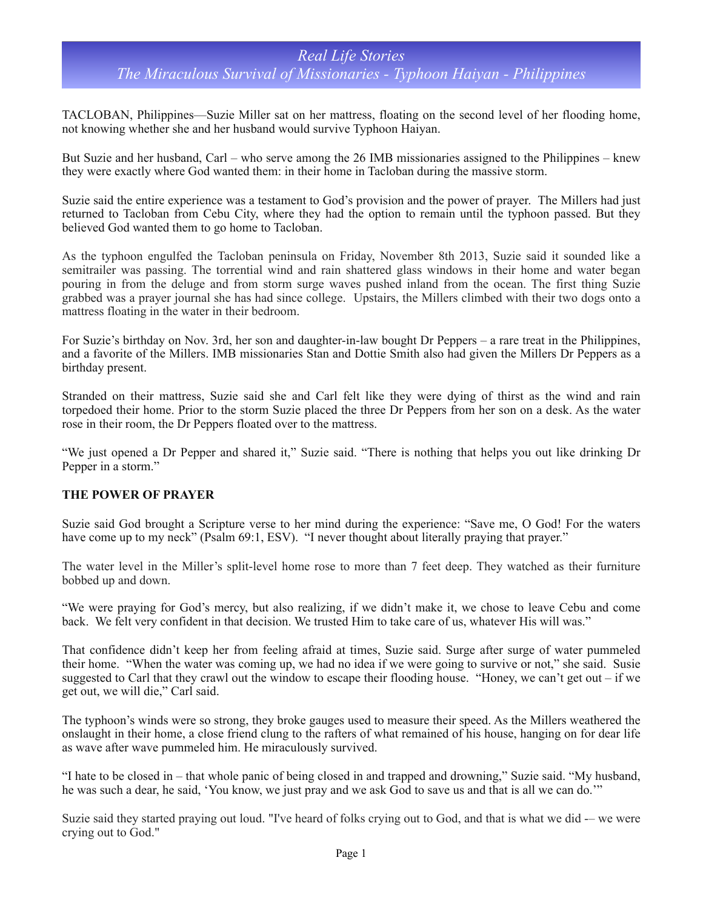# *Real Life Stories The Miraculous Survival of Missionaries - Typhoon Haiyan - Philippines*

TACLOBAN, Philippines—Suzie Miller sat on her mattress, floating on the second level of her flooding home, not knowing whether she and her husband would survive Typhoon Haiyan.

But Suzie and her husband, Carl – who serve among the 26 IMB missionaries assigned to the Philippines – knew they were exactly where God wanted them: in their home in Tacloban during the massive storm.

Suzie said the entire experience was a testament to God's provision and the power of prayer. The Millers had just returned to Tacloban from Cebu City, where they had the option to remain until the typhoon passed. But they believed God wanted them to go home to Tacloban.

As the typhoon engulfed the Tacloban peninsula on Friday, November 8th 2013, Suzie said it sounded like a semitrailer was passing. The torrential wind and rain shattered glass windows in their home and water began pouring in from the deluge and from storm surge waves pushed inland from the ocean. The first thing Suzie grabbed was a prayer journal she has had since college. Upstairs, the Millers climbed with their two dogs onto a mattress floating in the water in their bedroom.

For Suzie's birthday on Nov. 3rd, her son and daughter-in-law bought Dr Peppers – a rare treat in the Philippines, and a favorite of the Millers. IMB missionaries Stan and Dottie Smith also had given the Millers Dr Peppers as a birthday present.

Stranded on their mattress, Suzie said she and Carl felt like they were dying of thirst as the wind and rain torpedoed their home. Prior to the storm Suzie placed the three Dr Peppers from her son on a desk. As the water rose in their room, the Dr Peppers floated over to the mattress.

"We just opened a Dr Pepper and shared it," Suzie said. "There is nothing that helps you out like drinking Dr Pepper in a storm."

### **THE POWER OF PRAYER**

Suzie said God brought a Scripture verse to her mind during the experience: "Save me, O God! For the waters have come up to my neck" (Psalm 69:1, ESV). "I never thought about literally praying that prayer."

The water level in the Miller's split-level home rose to more than 7 feet deep. They watched as their furniture bobbed up and down.

"We were praying for God's mercy, but also realizing, if we didn't make it, we chose to leave Cebu and come back. We felt very confident in that decision. We trusted Him to take care of us, whatever His will was."

That confidence didn't keep her from feeling afraid at times, Suzie said. Surge after surge of water pummeled their home. "When the water was coming up, we had no idea if we were going to survive or not," she said. Susie suggested to Carl that they crawl out the window to escape their flooding house. "Honey, we can't get out – if we get out, we will die," Carl said.

The typhoon's winds were so strong, they broke gauges used to measure their speed. As the Millers weathered the onslaught in their home, a close friend clung to the rafters of what remained of his house, hanging on for dear life as wave after wave pummeled him. He miraculously survived.

"I hate to be closed in – that whole panic of being closed in and trapped and drowning," Suzie said. "My husband, he was such a dear, he said, 'You know, we just pray and we ask God to save us and that is all we can do.'"

Suzie said they started praying out loud. "I've heard of folks crying out to God, and that is what we did -– we were crying out to God."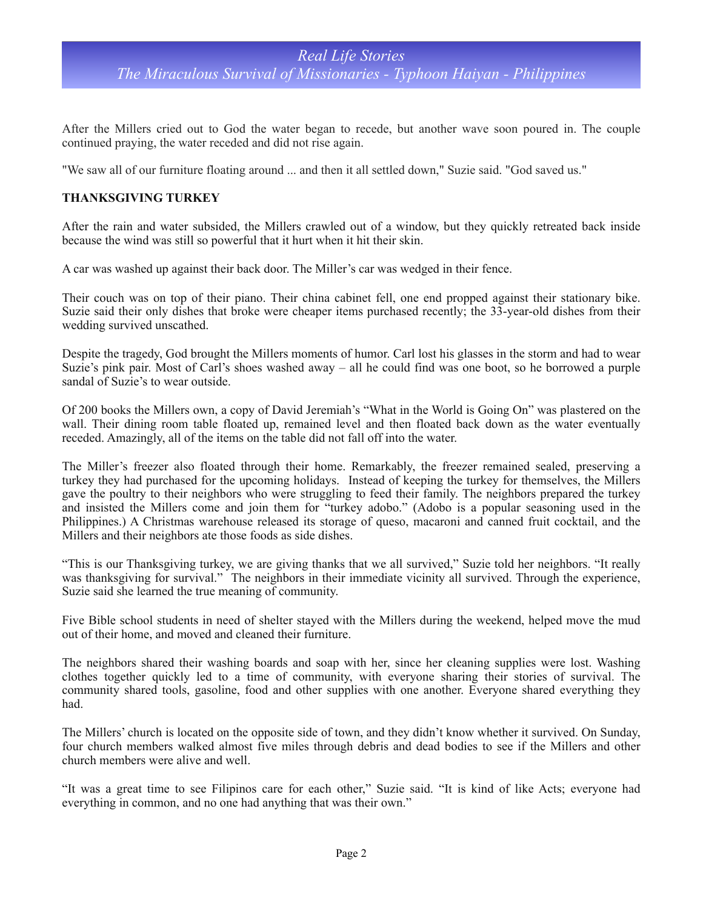# *Real Life Stories The Miraculous Survival of Missionaries - Typhoon Haiyan - Philippines*

After the Millers cried out to God the water began to recede, but another wave soon poured in. The couple continued praying, the water receded and did not rise again.

"We saw all of our furniture floating around ... and then it all settled down," Suzie said. "God saved us."

### **THANKSGIVING TURKEY**

After the rain and water subsided, the Millers crawled out of a window, but they quickly retreated back inside because the wind was still so powerful that it hurt when it hit their skin.

A car was washed up against their back door. The Miller's car was wedged in their fence.

Their couch was on top of their piano. Their china cabinet fell, one end propped against their stationary bike. Suzie said their only dishes that broke were cheaper items purchased recently; the 33-year-old dishes from their wedding survived unscathed.

Despite the tragedy, God brought the Millers moments of humor. Carl lost his glasses in the storm and had to wear Suzie's pink pair. Most of Carl's shoes washed away – all he could find was one boot, so he borrowed a purple sandal of Suzie's to wear outside.

Of 200 books the Millers own, a copy of David Jeremiah's "What in the World is Going On" was plastered on the wall. Their dining room table floated up, remained level and then floated back down as the water eventually receded. Amazingly, all of the items on the table did not fall off into the water.

The Miller's freezer also floated through their home. Remarkably, the freezer remained sealed, preserving a turkey they had purchased for the upcoming holidays. Instead of keeping the turkey for themselves, the Millers gave the poultry to their neighbors who were struggling to feed their family. The neighbors prepared the turkey and insisted the Millers come and join them for "turkey adobo." (Adobo is a popular seasoning used in the Philippines.) A Christmas warehouse released its storage of queso, macaroni and canned fruit cocktail, and the Millers and their neighbors ate those foods as side dishes.

"This is our Thanksgiving turkey, we are giving thanks that we all survived," Suzie told her neighbors. "It really was thanksgiving for survival." The neighbors in their immediate vicinity all survived. Through the experience, Suzie said she learned the true meaning of community.

Five Bible school students in need of shelter stayed with the Millers during the weekend, helped move the mud out of their home, and moved and cleaned their furniture.

The neighbors shared their washing boards and soap with her, since her cleaning supplies were lost. Washing clothes together quickly led to a time of community, with everyone sharing their stories of survival. The community shared tools, gasoline, food and other supplies with one another. Everyone shared everything they had.

The Millers' church is located on the opposite side of town, and they didn't know whether it survived. On Sunday, four church members walked almost five miles through debris and dead bodies to see if the Millers and other church members were alive and well.

"It was a great time to see Filipinos care for each other," Suzie said. "It is kind of like Acts; everyone had everything in common, and no one had anything that was their own."